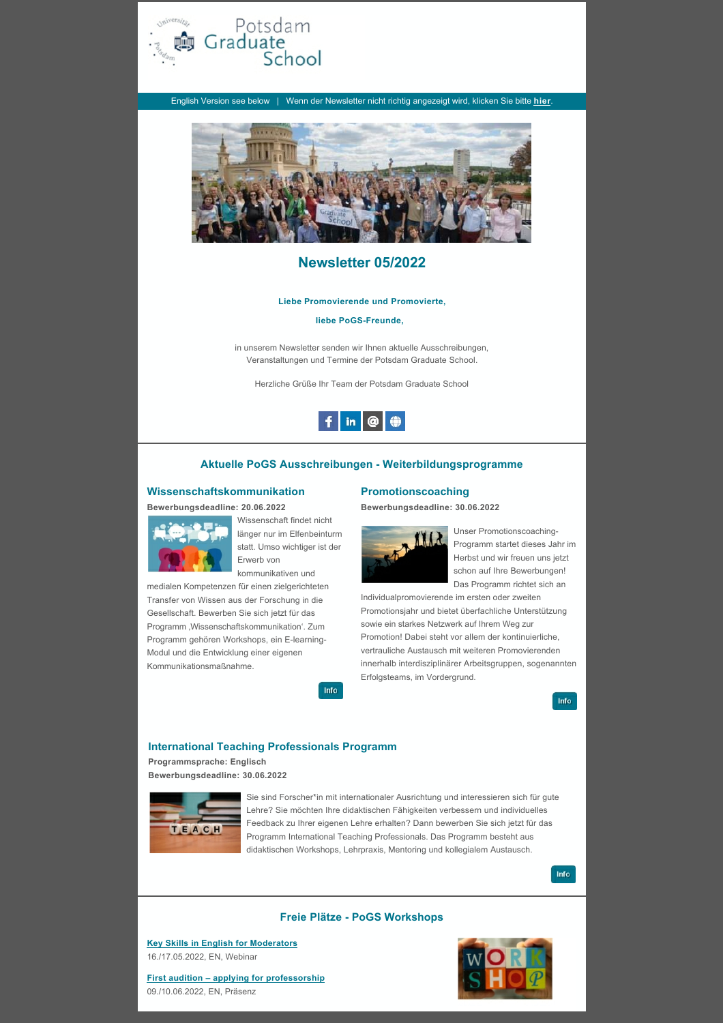

English Version see below | Wenn der Newsletter nicht richtig angezeigt wird, klicken Sie bitte **[hier](https://www.uni-potsdam.de/fileadmin/projects/pogs/pogs/foerderung_mitgliedschaft_pogs/newsletter/Newsletter_05_2022.pdf)**.



# **Newsletter 05/2022**

#### **Liebe Promovierende und Promovierte,**

**liebe PoGS-Freunde,**

in unserem Newsletter senden wir Ihnen aktuelle Ausschreibungen, Veranstaltungen und Termine der Potsdam Graduate School.

Herzliche Grüße Ihr Team der Potsdam Graduate School



### **Aktuelle PoGS Ausschreibungen - Weiterbildungsprogramme**

## **Wissenschaftskommunikation**

**Bewerbungsdeadline: 20.06.2022**



Wissenschaft findet nicht länger nur im Elfenbeinturm statt. Umso wichtiger ist der Erwerb von kommunikativen und

medialen Kompetenzen für einen zielgerichteten Transfer von Wissen aus der Forschung in die Gesellschaft. Bewerben Sie sich jetzt für das Programm , Wissenschaftskommunikation'. Zum Programm gehören Workshops, ein E-learning-Modul und die Entwicklung einer eigenen Kommunikationsmaßnahme.



### **Promotionscoaching**

**Bewerbungsdeadline: 30.06.2022**



Unser Promotionscoaching-Programm startet dieses Jahr im Herbst und wir freuen uns jetzt schon auf Ihre Bewerbungen! Das Programm richtet sich an

Individualpromovierende im ersten oder zweiten Promotionsjahr und bietet überfachliche Unterstützung sowie ein starkes Netzwerk auf Ihrem Weg zur Promotion! Dabei steht vor allem der kontinuierliche, vertrauliche Austausch mit weiteren Promovierenden innerhalb interdisziplinärer Arbeitsgruppen, sogenannten Erfolgsteams, im Vordergrund. .

Info

### **International Teaching Professionals Programm**

## **Programmsprache: Englisch**

**Bewerbungsdeadline: 30.06.2022**



Sie sind Forscher\*in mit internationaler Ausrichtung und interessieren sich für gute Lehre? Sie möchten Ihre didaktischen Fähigkeiten verbessern und individuelles Feedback zu Ihrer eigenen Lehre erhalten? Dann bewerben Sie sich jetzt für das Programm International Teaching Professionals. Das Programm besteht aus didaktischen Workshops, Lehrpraxis, Mentoring und kollegialem Austausch.



### **Freie Plätze - PoGS Workshops**

**[Key Skills in English for Moderators](https://pogs.uni-potsdam.de/booking/course/563fe5b8.html)** 16./17.05.2022, EN, Webinar



**[First audition – applying for professorship](https://pogs.uni-potsdam.de/booking/course/c2a96de7.html)** 09./10.06.2022, EN, Präsenz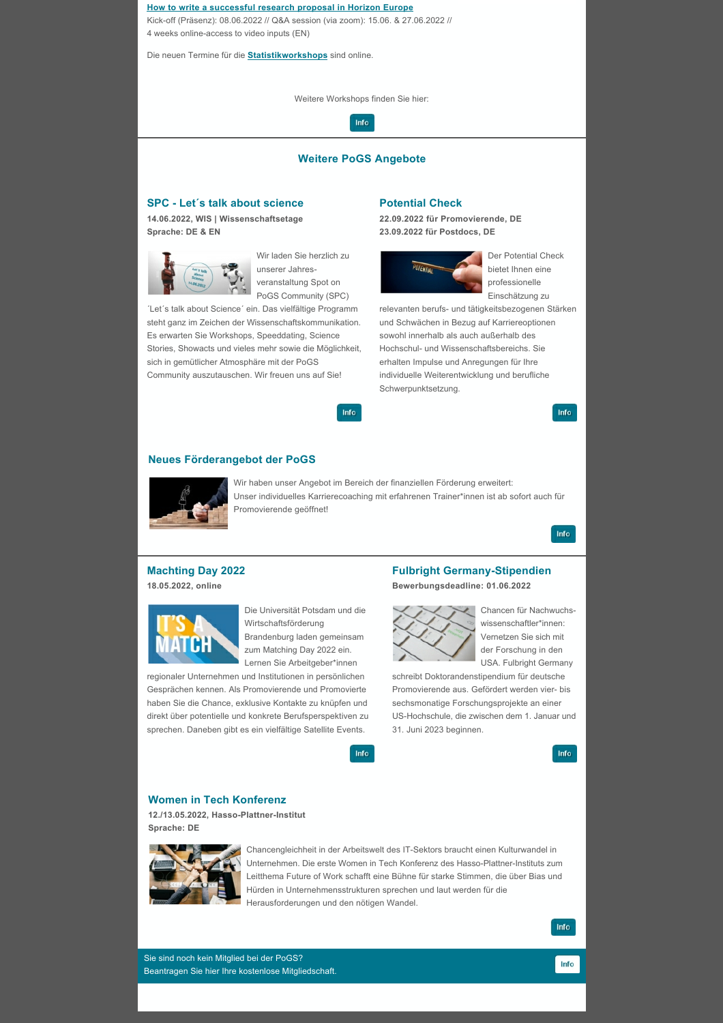#### **[How to write a successful research proposal in Horizon Europe](https://pogs.uni-potsdam.de/booking/course/d89789e0.html)**

Kick-off (Präsenz): 08.06.2022 // Q&A session (via zoom): 15.06. & 27.06.2022 // 4 weeks online-access to video inputs (EN)

Die neuen Termine für die **[Statistikworkshops](https://pogs.uni-potsdam.de/booking/courses/de/all/0.html)** sind online.

Weitere Workshops finden Sie hier:



## **Weitere PoGS Angebote**

Info

# **SPC - Let´s talk about science**

**14.06.2022, WIS | Wissenschaftsetage Sprache: DE & EN**



Wir laden Sie herzlich zu unserer Jahresveranstaltung Spot on PoGS Community (SPC)

´Let´s talk about Science´ ein. Das vielfältige Programm steht ganz im Zeichen der Wissenschaftskommunikation. Es erwarten Sie Workshops, Speeddating, Science Stories, Showacts und vieles mehr sowie die Möglichkeit, sich in gemütlicher Atmosphäre mit der PoGS Community auszutauschen. Wir freuen uns auf Sie!

### **Potential Check**

**22.09.2022 für Promovierende, DE 23.09.2022 für Postdocs, DE**



Der Potential Check bietet Ihnen eine professionelle Einschätzung zu

relevanten berufs- und tätigkeitsbezogenen Stärken und Schwächen in Bezug auf Karriereoptionen sowohl innerhalb als auch außerhalb des Hochschul- und Wissenschaftsbereichs. Sie erhalten Impulse und Anregungen für Ihre individuelle Weiterentwicklung und berufliche Schwerpunktsetzung.

Info

### **Neues Förderangebot der PoGS**



Wir haben unser Angebot im Bereich der finanziellen Förderung erweitert: Unser individuelles Karrierecoaching mit erfahrenen Trainer\*innen ist ab sofort auch für Promovierende geöffnet!

Info

## **Machting Day 2022**

**18.05.2022, online**



Die Universität Potsdam und die Wirtschaftsförderung Brandenburg laden gemeinsam zum Matching Day 2022 ein. Lernen Sie Arbeitgeber\*innen

regionaler Unternehmen und Institutionen in persönlichen Gesprächen kennen. Als Promovierende und Promovierte haben Sie die Chance, exklusive Kontakte zu knüpfen und direkt über potentielle und konkrete Berufsperspektiven zu sprechen. Daneben gibt es ein vielfältige Satellite Events.

### **Fulbright Germany-Stipendien**

**Bewerbungsdeadline: 01.06.2022**



Chancen für Nachwuchswissenschaftler\*innen: Vernetzen Sie sich mit der Forschung in den USA. Fulbright Germany

schreibt Doktorandenstipendium für deutsche Promovierende aus. Gefördert werden vier- bis sechsmonatige Forschungsprojekte an einer US-Hochschule, die zwischen dem 1. Januar und 31. Juni 2023 beginnen.

Info

#### **Women in Tech Konferenz**

**12./13.05.2022, Hasso-Plattner-Institut Sprache: DE**



Chancengleichheit in der Arbeitswelt des IT-Sektors braucht einen Kulturwandel in Unternehmen. Die erste Women in Tech Konferenz des Hasso-Plattner-Instituts zum Leitthema Future of Work schafft eine Bühne für starke Stimmen, die über Bias und Hürden in Unternehmensstrukturen sprechen und laut werden für die Herausforderungen und den nötigen Wandel.

Info

Info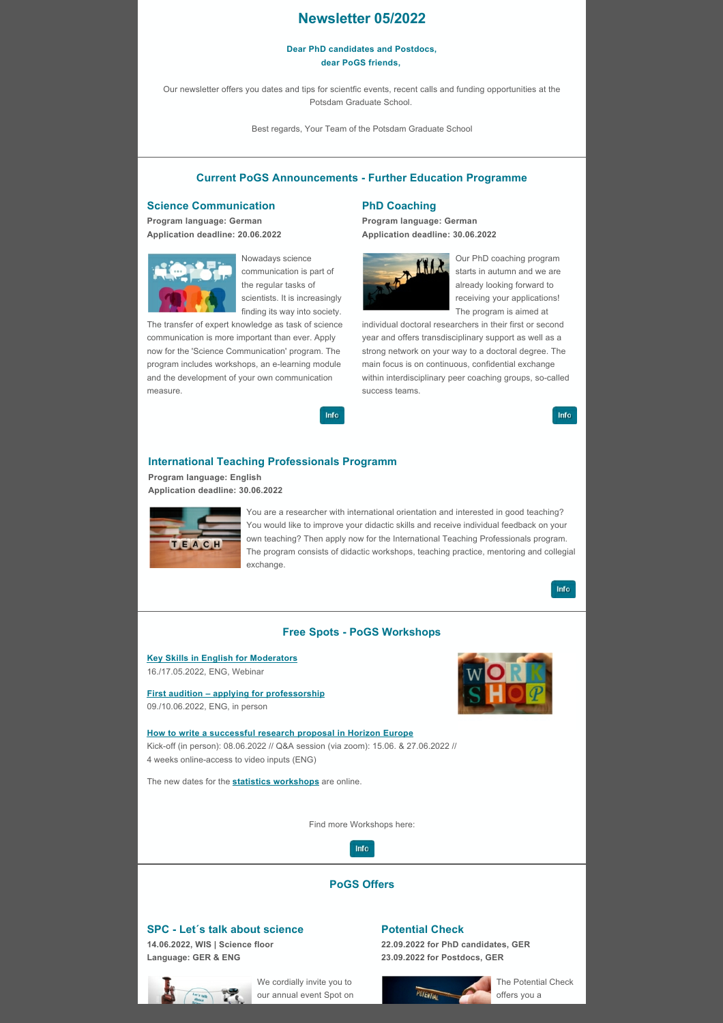# **Newsletter 05/2022**

#### **Dear PhD candidates and Postdocs, dear PoGS friends,**

Our newsletter offers you dates and tips for scientfic events, recent calls and funding opportunities at the Potsdam Graduate School.

Best regards, Your Team of the Potsdam Graduate School

# **Current PoGS Announcements - Further Education Programme**

## **Science Communication**

**Program language: German Application deadline: 20.06.2022**



Nowadays science communication is part of the regular tasks of scientists. It is increasingly finding its way into society.

Info

The transfer of expert knowledge as task of science communication is more important than ever. Apply now for the 'Science Communication' program. The program includes workshops, an e-learning module and the development of your own communication measure.

## **PhD Coaching**

**Program language: German Application deadline: 30.06.2022**



Our PhD coaching program starts in autumn and we are already looking forward to receiving your applications! The program is aimed at

individual doctoral researchers in their first or second year and offers transdisciplinary support as well as a strong network on your way to a doctoral degree. The main focus is on continuous, confidential exchange within interdisciplinary peer coaching groups, so-called success teams.

Info

### **International Teaching Professionals Programm**

**Program language: English Application deadline: 30.06.2022**



You are a researcher with international orientation and interested in good teaching? You would like to improve your didactic skills and receive individual feedback on your own teaching? Then apply now for the International Teaching Professionals program. The program consists of didactic workshops, teaching practice, mentoring and collegial exchange.

Info

## **Free Spots - PoGS Workshops**

**[Key Skills in English for Moderators](https://pogs.uni-potsdam.de/booking/course/563fe5b8.html)** 16./17.05.2022, ENG, Webinar

**[First audition – applying for professorship](https://pogs.uni-potsdam.de/booking/course/c2a96de7.html)** 09./10.06.2022, ENG, in person



**[How to write a successful research proposal in Horizon Europe](https://pogs.uni-potsdam.de/booking/course/d89789e0.html)** Kick-off (in person): 08.06.2022 // Q&A session (via zoom): 15.06. & 27.06.2022 // 4 weeks online-access to video inputs (ENG)

The new dates for the **[statistics workshops](https://pogs.uni-potsdam.de/booking/courses/en/all/0.html)** are online.

Find more Workshops here:



# **PoGS Offers**

## **SPC - Let´s talk about science**

**14.06.2022, WIS | Science floor Language: GER & ENG**



We cordially invite you to our annual event Spot on

# **Potential Check**

**22.09.2022 for PhD candidates, GER 23.09.2022 for Postdocs, GER**



The Potential Check offers you a